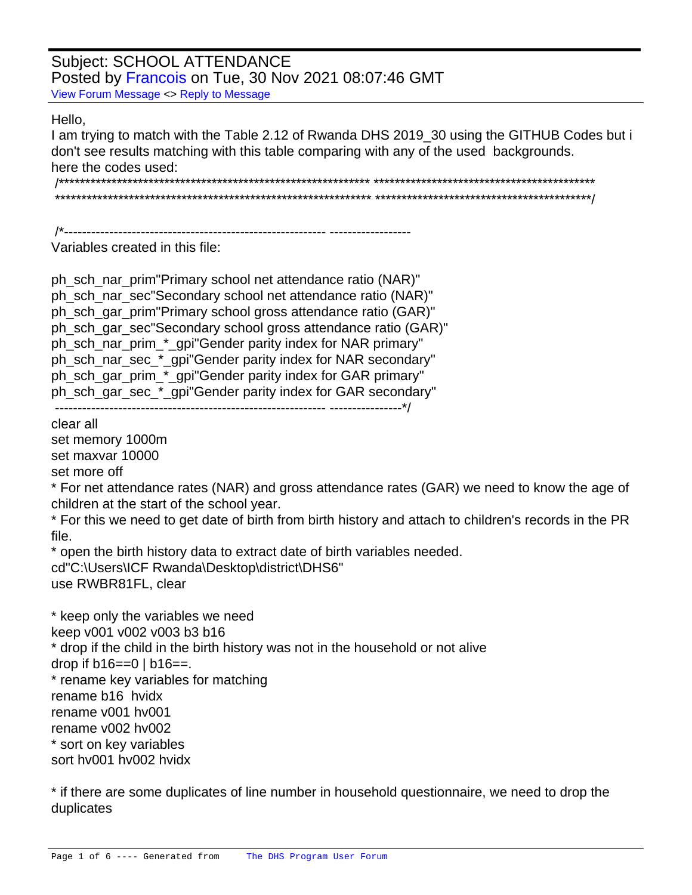## **Subject: SCHOOL ATTENDANCE** Posted by Francois on Tue, 30 Nov 2021 08:07:46 GMT View Forum Message <> Reply to Message

## Hello.

I am trying to match with the Table 2.12 of Rwanda DHS 2019\_30 using the GITHUB Codes but i don't see results matching with this table comparing with any of the used backgrounds. here the codes used: 

/\*\_\_\_\_\_\_\_\_\_\_\_\_\_\_\_\_\_\_\_\_\_\_\_\_\_\_\_\_\_\_ 

Variables created in this file:

```
ph_sch_nar_prim "Primary school net attendance ratio (NAR)"
ph_sch_nar_sec "Secondary school net attendance ratio (NAR)"
ph sch gar prim "Primary school gross attendance ratio (GAR)"
ph_sch_gar_sec "Secondary school gross attendance ratio (GAR)"
ph_sch_nar_prim_*_gpi "Gender parity index for NAR primary"
ph_sch_nar_sec_*_gpi "Gender parity index for NAR secondary"
ph_sch_gar_prim_*_gpi "Gender parity index for GAR primary"
ph_sch_gar_sec_*_gpi "Gender parity index for GAR secondary"
```
clear all

set memory 1000m

set maxvar 10000

set more off

\* For net attendance rates (NAR) and gross attendance rates (GAR) we need to know the age of children at the start of the school year.

\* For this we need to get date of birth from birth history and attach to children's records in the PR file.

\* open the birth history data to extract date of birth variables needed. cd"C:\Users\ICF Rwanda\Desktop\district\DHS6" use RWBR81FL, clear

```
* keep only the variables we need
keep v001 v002 v003 b3 b16
* drop if the child in the birth history was not in the household or not alive
drop if b16 == 0 \mid b16 ==.
* rename key variables for matching
rename b16 hvidx
rename v001 hv001
rename v002 hv002
* sort on key variables
sort hy001 hy002 hyidx
```
\* if there are some duplicates of line number in household questionnaire, we need to drop the duplicates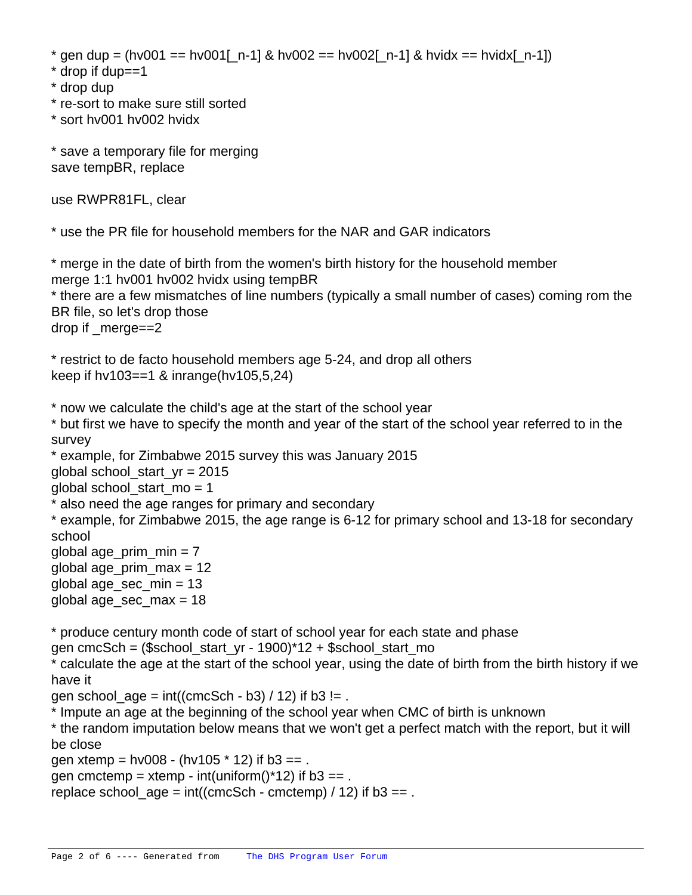```
* gen dup = (hv001 == hv001[n-1] & hv002 == hv002[n-1] & hvidx == hvidx[n-1])
```
- \* drop if dup==1
- \* drop dup
- \* re-sort to make sure still sorted
- \* sort hv001 hv002 hvidx

\* save a temporary file for merging save tempBR, replace

use RWPR81FL, clear

\* use the PR file for household members for the NAR and GAR indicators

\* merge in the date of birth from the women's birth history for the household member merge 1:1 hv001 hv002 hvidx using tempBR \* there are a few mismatches of line numbers (typically a small number of cases) coming rom the BR file, so let's drop those drop if \_merge==2

\* restrict to de facto household members age 5-24, and drop all others keep if hv103==1 & inrange(hv105,5,24)

\* now we calculate the child's age at the start of the school year

\* but first we have to specify the month and year of the start of the school year referred to in the survey

```
* example, for Zimbabwe 2015 survey this was January 2015
```
global school\_start\_yr = 2015

global school start  $mo = 1$ 

\* also need the age ranges for primary and secondary

\* example, for Zimbabwe 2015, the age range is 6-12 for primary school and 13-18 for secondary school

global age\_prim\_min =  $7$ global age\_prim\_max = 12 global age\_sec\_min = 13 global age\_sec\_max = 18

\* produce century month code of start of school year for each state and phase

gen cmcSch = (\$school\_start\_yr - 1900)\*12 + \$school\_start\_mo

\* calculate the age at the start of the school year, using the date of birth from the birth history if we have it

gen school  $age = int((cmcSch - b3) / 12)$  if b3 != .

\* Impute an age at the beginning of the school year when CMC of birth is unknown

\* the random imputation below means that we won't get a perfect match with the report, but it will be close

gen xtemp =  $hv008 - (hv105 * 12)$  if  $b3 ==$ .

gen cmctemp = xtemp - int(uniform( $*12$ ) if b3 == .

replace school  $age = int((cmcSch - cmctemp) / 12)$  if b3 == .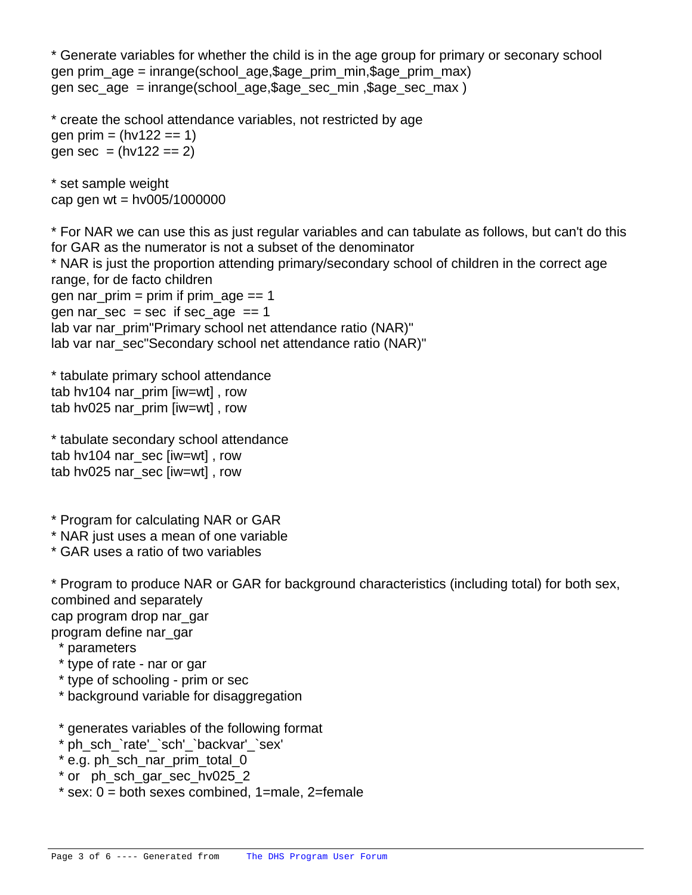\* Generate variables for whether the child is in the age group for primary or seconary school gen prim\_age = inrange(school\_age,\$age\_prim\_min,\$age\_prim\_max) gen sec\_age = inrange(school\_age,\$age\_sec\_min ,\$age\_sec\_max )

\* create the school attendance variables, not restricted by age gen prim =  $(hv122 == 1)$ gen sec =  $(hv122 == 2)$ 

\* set sample weight cap gen wt =  $hv005/1000000$ 

\* For NAR we can use this as just regular variables and can tabulate as follows, but can't do this for GAR as the numerator is not a subset of the denominator \* NAR is just the proportion attending primary/secondary school of children in the correct age range, for de facto children gen nar  $prim = prim$  if prim age  $== 1$ gen nar sec = sec if sec age == 1 lab var nar\_prim "Primary school net attendance ratio (NAR)" lab var nar\_sec "Secondary school net attendance ratio (NAR)"

\* tabulate primary school attendance tab hv104 nar\_prim [iw=wt], row tab hv025 nar\_prim [iw=wt] , row

\* tabulate secondary school attendance tab hv104 nar\_sec [iw=wt], row tab hv025 nar\_sec [iw=wt], row

\* Program for calculating NAR or GAR

\* NAR just uses a mean of one variable

\* GAR uses a ratio of two variables

\* Program to produce NAR or GAR for background characteristics (including total) for both sex, combined and separately cap program drop nar\_gar

program define nar\_gar

- \* parameters
- \* type of rate nar or gar
- \* type of schooling prim or sec
- \* background variable for disaggregation

\* generates variables of the following format

- \* ph\_sch\_`rate'\_`sch'\_`backvar'\_`sex'
- \* e.g. ph\_sch\_nar\_prim\_total\_0
- \* or ph\_sch\_gar\_sec\_hv025\_2
- $*$  sex:  $0 =$  both sexes combined, 1=male, 2=female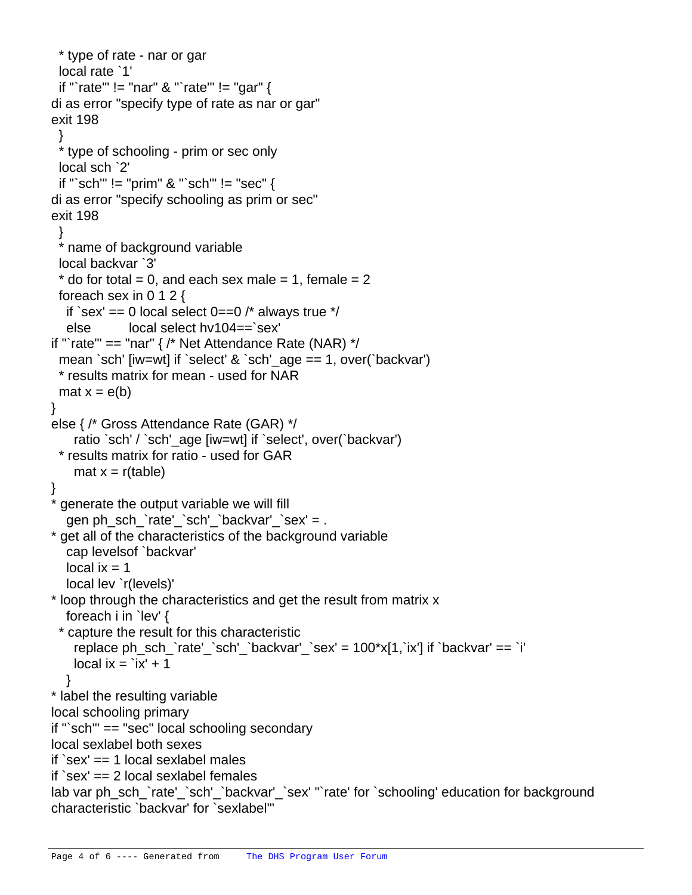```
 * type of rate - nar or gar
  local rate `1'
  if "`rate'" != "nar" & "`rate'" != "gar" {
	di as error "specify type of rate as nar or gar"
	exit 198
 }
  * type of schooling - prim or sec only 
  local sch `2'
  if "`sch'" != "prim" & "`sch'" != "sec" {
	di as error "specify schooling as prim or sec"
	exit 198
 }
  * name of background variable
  local backvar `3'
 * do for total = 0, and each sex male = 1, female = 2
  foreach sex in 0 1 2 {
  if `sex' == 0 local select 0 == 0 /* always true */
   else local select hv104==`sex'
if "`rate'" == "nar" \frac{1}{2} Net Attendance Rate (NAR) \frac{1}{2}	 mean `sch' [iw=wt] if `select' & `sch'_age == 1, over(`backvar')
  	 * results matrix for mean - used for NAR
  mat x = e(b)	}
	else { /* Gross Attendance Rate (GAR) */
    ratio `sch' / `sch' age [iw=wt] if `select', over(`backvar')
  	 * results matrix for ratio - used for GAR
    mat x = r(table)	}
  generate the output variable we will fill
   gen ph_sch_`rate'_`sch'_`backvar'_`sex' = .
  get all of the characteristics of the background variable
   cap levelsof `backvar'
  local ix = 1 local lev `r(levels)'
	* loop through the characteristics and get the result from matrix x
   foreach i in `lev' {
  	 * capture the result for this characteristic
     replace ph_sch_`rate'_`sch'_`backvar'_`sex' = 100*x[1,`ix'] if `backvar' == `i'
    local ix = i'x' + 1 }
	* label the resulting variable
	local schooling primary
	if "`sch'" == "sec" local schooling secondary
	local sexlabel both sexes
	if `sex' == 1 local sexlabel males
	if `sex' == 2 local sexlabel females
	lab var ph_sch_`rate'_`sch'_`backvar'_`sex' "`rate' for `schooling' education for background
characteristic `backvar' for `sexlabel'"
```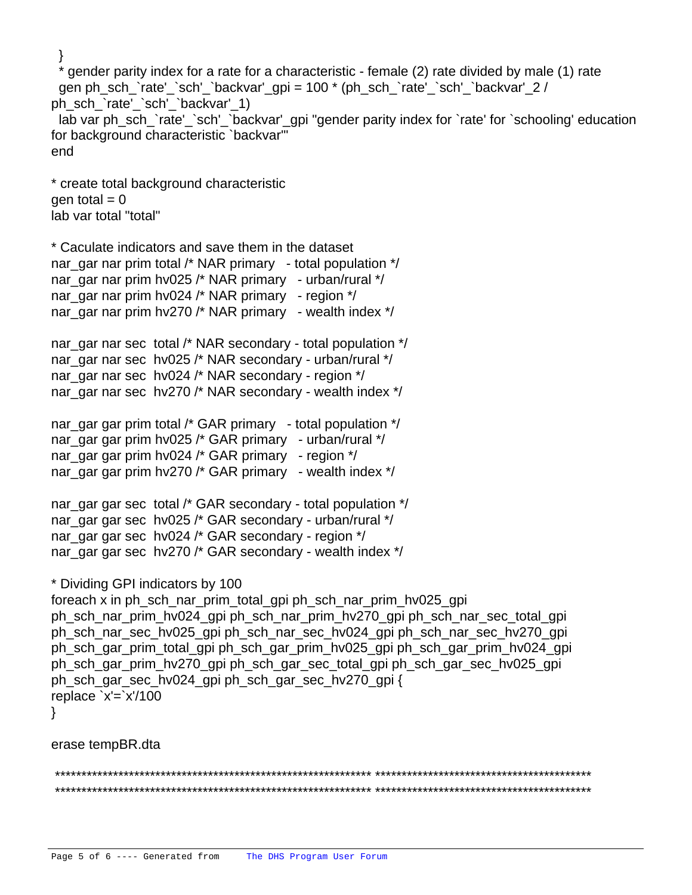} gender parity index for a rate for a characteristic - female (2) rate divided by male (1) rate gen ph\_sch\_`rate'\_`sch'\_`backvar'\_gpi = 100 \* (ph\_sch\_`rate'\_`sch'\_`backvar'\_2 / ph\_sch\_`rate'\_`sch'\_`backvar'\_1) lab var ph\_sch\_`rate'\_`sch'\_`backvar'\_gpi "gender parity index for `rate' for `schooling' education for background characteristic `backvar'" end \* create total background characteristic gen total  $= 0$ lab var total "total" \* Caculate indicators and save them in the dataset nar\_gar nar prim total /\* NAR primary - total population \*/ nar\_gar nar prim hv025 /\* NAR primary - urban/rural \*/ nar gar nar prim hv024  $/$ \* NAR primary - region  $*/$ nar\_gar nar prim hv270 /\* NAR primary - wealth index  $*/$ nar gar nar sec total /\* NAR secondary - total population \*/ nar\_gar nar sec hv025 /\* NAR secondary - urban/rural \*/ nar gar nar sec hv024 /\* NAR secondary - region \*/ nar\_gar nar sec hv270 /\* NAR secondary - wealth index \*/ nar\_gar gar prim total /\* GAR primary - total population \*/ nar\_gar gar prim hv025 /\* GAR primary - urban/rural \*/ nar\_gar gar prim hv024 /\* GAR primary - region  $*/$ nar\_gar gar prim hv270 /\* GAR primary - wealth index \*/ nar gar gar sec total  $/$ \* GAR secondary - total population  $*/$ nar\_gar gar sec hv025 /\* GAR secondary - urban/rural \*/ nar\_gar gar sec hv024 /\* GAR secondary - region \*/ nar\_gar gar sec hv270 /\* GAR secondary - wealth index \*/ \* Dividing GPI indicators by 100 foreach x in ph\_sch\_nar\_prim\_total\_gpi ph\_sch\_nar\_prim\_hv025\_gpi ph\_sch\_nar\_prim\_hv024\_gpi ph\_sch\_nar\_prim\_hv270\_gpi ph\_sch\_nar\_sec\_total\_gpi ph\_sch\_nar\_sec\_hv025\_gpi ph\_sch\_nar\_sec\_hv024\_gpi ph\_sch\_nar\_sec\_hv270\_gpi ph\_sch\_gar\_prim\_total\_gpi ph\_sch\_gar\_prim\_hv025\_gpi ph\_sch\_gar\_prim\_hv024\_gpi ph\_sch\_gar\_prim\_hv270\_gpi ph\_sch\_gar\_sec\_total\_gpi ph\_sch\_gar\_sec\_hv025\_gpi ph\_sch\_gar\_sec\_hv024\_gpi ph\_sch\_gar\_sec\_hv270\_gpi { replace  $x'=x'/100$ } erase tempBR.dta \*\*\*\*\*\*\*\*\*\*\*\*\*\*\*\*\*\*\*\*\*\*\*\*\*\*\*\*\*\*\*\*\*\*\*\*\*\*\*\*\*\*\*\*\*\*\*\*\*\*\*\*\*\*\*\*\*\*\*\* \*\*\*\*\*\*\*\*\*\*\*\*\*\*\*\*\*\*\*\*\*\*\*\*\*\*\*\*\*\*\*\*\*\*\*\*\*\*\*\*\* \*\*\*\*\*\*\*\*\*\*\*\*\*\*\*\*\*\*\*\*\*\*\*\*\*\*\*\*\*\*\*\*\*\*\*\*\*\*\*\*\*\*\*\*\*\*\*\*\*\*\*\*\*\*\*\*\*\*\*\* \*\*\*\*\*\*\*\*\*\*\*\*\*\*\*\*\*\*\*\*\*\*\*\*\*\*\*\*\*\*\*\*\*\*\*\*\*\*\*\*\*